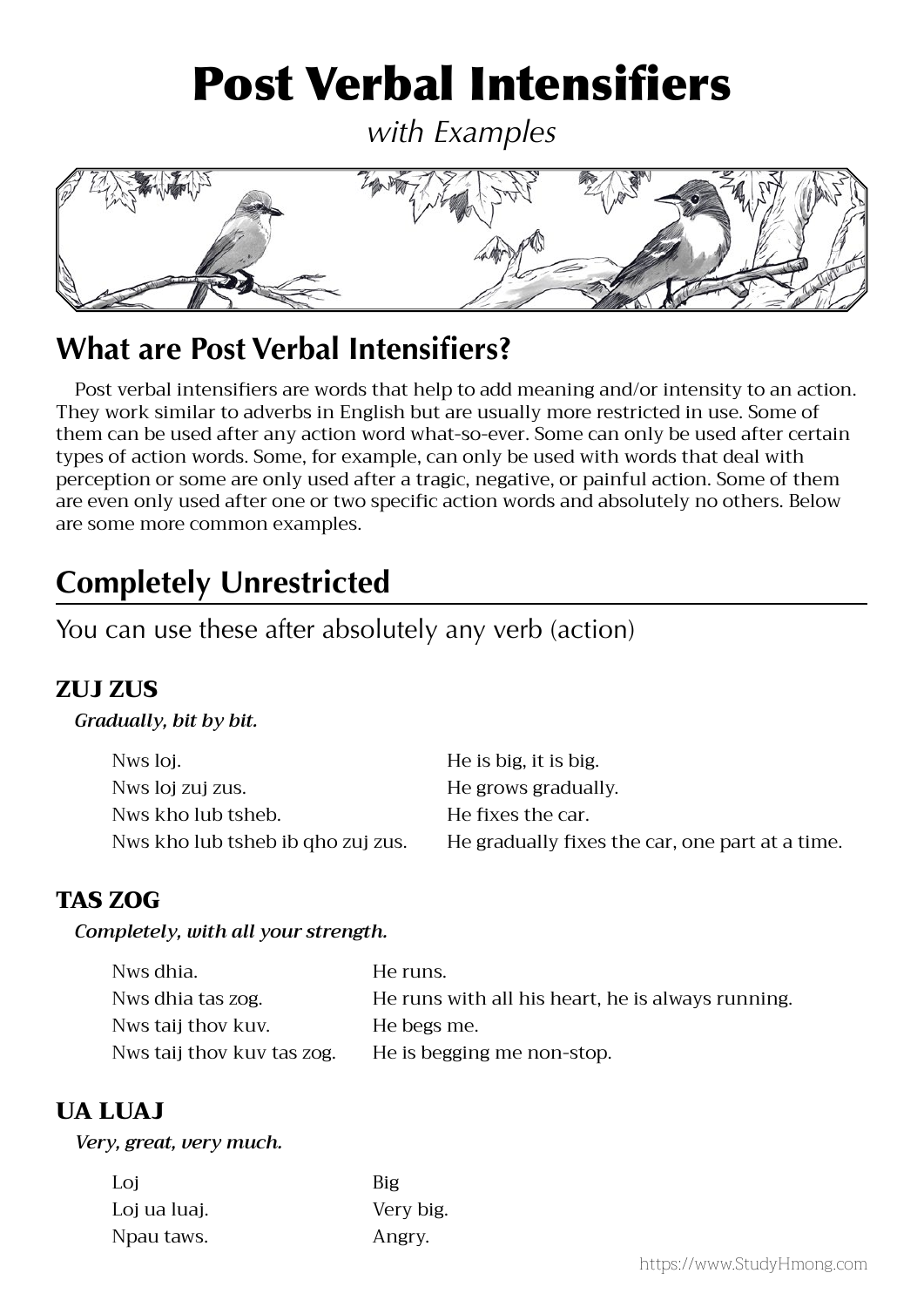# Post Verbal Intensifiers

*with Examples*



# **What are Post Verbal Intensifiers?**

 Post verbal intensifiers are words that help to add meaning and/or intensity to an action. They work similar to adverbs in English but are usually more restricted in use. Some of them can be used after any action word what-so-ever. Some can only be used after certain types of action words. Some, for example, can only be used with words that deal with perception or some are only used after a tragic, negative, or painful action. Some of them are even only used after one or two specific action words and absolutely no others. Below are some more common examples.

# **Completely Unrestricted**

You can use these after absolutely any verb (action)

# ZULI ZUS

#### *Gradually, bit by bit.*

| Nws loj.                          | He is big, it is big.                           |
|-----------------------------------|-------------------------------------------------|
|                                   |                                                 |
| Nws loj zuj zus.                  | He grows gradually.                             |
| Nws kho lub tsheb.                | He fixes the car.                               |
| Nws kho lub tsheb ib qho zuj zus. | He gradually fixes the car, one part at a time. |

# TAS ZOG

#### *Completely, with all your strength.*

| Nws dhia.                  | He runs.                                          |
|----------------------------|---------------------------------------------------|
| Nws dhia tas zog.          | He runs with all his heart, he is always running. |
| Nws taij thov kuv.         | He begs me.                                       |
| Nws taij thov kuv tas zog. | He is begging me non-stop.                        |

# UA LUAJ

#### *Very, great, very much.*

| Loi          | Big       |
|--------------|-----------|
| Loj ua luaj. | Very big. |
| Npau taws.   | Angry.    |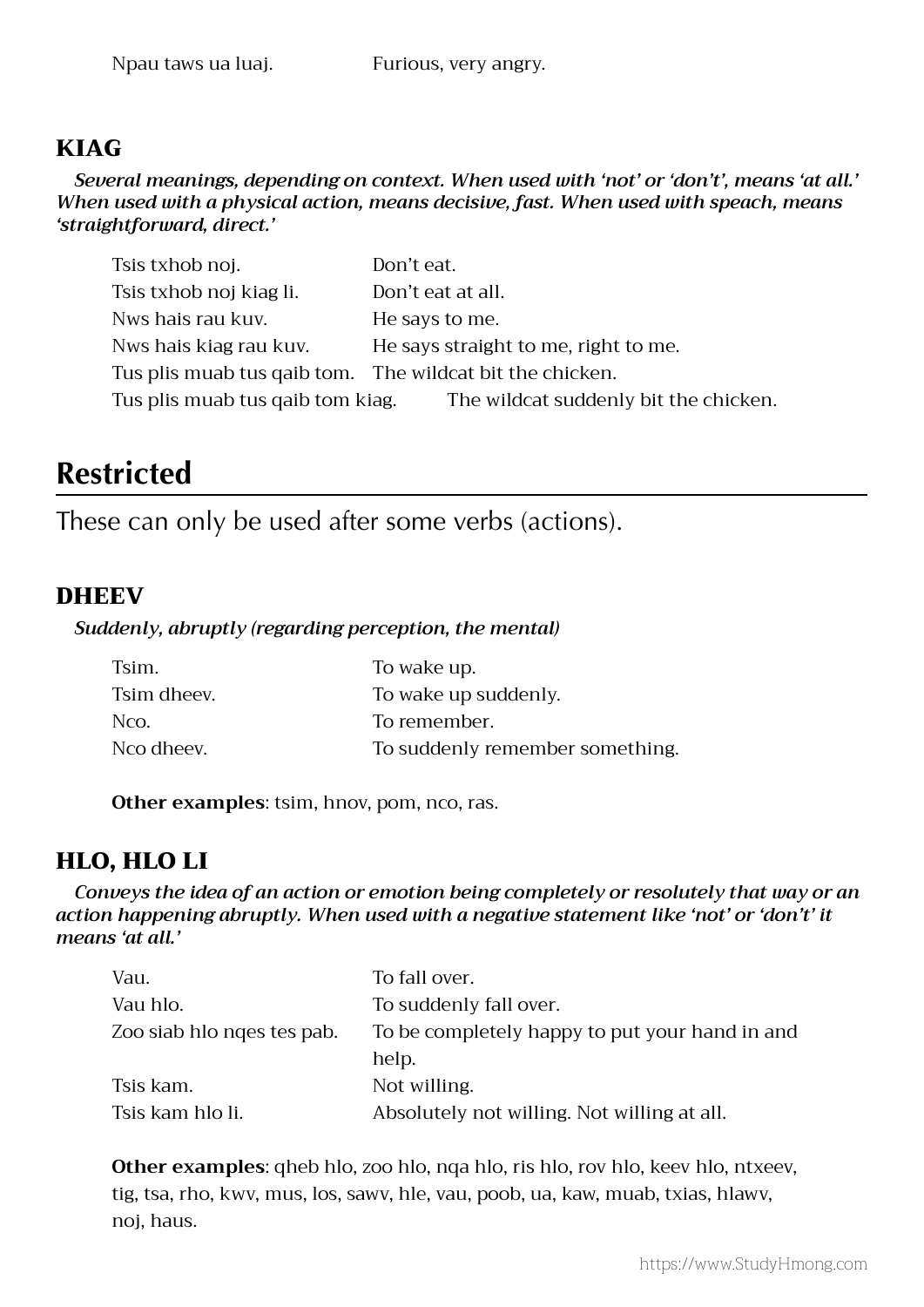# KIAG

*Several meanings, depending on context. When used with 'not' or 'don't', means 'at all.' When used with a physical action, means decisive, fast. When used with speach, means 'straightforward, direct.'* 

| Tsis txhob noj.                  | Don't eat.                                               |
|----------------------------------|----------------------------------------------------------|
| Tsis txhob noj kiag li.          | Don't eat at all.                                        |
| Nws hais rau kuv.                | He says to me.                                           |
| Nws hais kiag rau kuv.           | He says straight to me, right to me.                     |
|                                  | Tus plis muab tus qaib tom. The wildcat bit the chicken. |
| Tus plis muab tus qaib tom kiag. | The wildcat suddenly bit the chicken.                    |

# **Restricted**

These can only be used after some verbs (actions).

# **DHEEV**

#### *Suddenly, abruptly (regarding perception, the mental)*

| Tsim.       | To wake up.                     |
|-------------|---------------------------------|
| Tsim dheev. | To wake up suddenly.            |
| Nco.        | To remember.                    |
| Nco dheev.  | To suddenly remember something. |

**Other examples**: tsim, hnov, pom, nco, ras.

# HLO, HLO LI

*Conveys the idea of an action or emotion being completely or resolutely that way or an action happening abruptly. When used with a negative statement like 'not' or 'don't' it means 'at all.'*

| Vau.                       | To fall over.                                  |
|----------------------------|------------------------------------------------|
| Vau hlo.                   | To suddenly fall over.                         |
| Zoo siab hlo nges tes pab. | To be completely happy to put your hand in and |
|                            | help.                                          |
| Tsis kam.                  | Not willing.                                   |
| Tsis kam hlo li.           | Absolutely not willing. Not willing at all.    |

 **Other examples**: qheb hlo, zoo hlo, nqa hlo, ris hlo, rov hlo, keev hlo, ntxeev, tig, tsa, rho, kwv, mus, los, sawv, hle, vau, poob, ua, kaw, muab, txias, hlawv, noj, haus.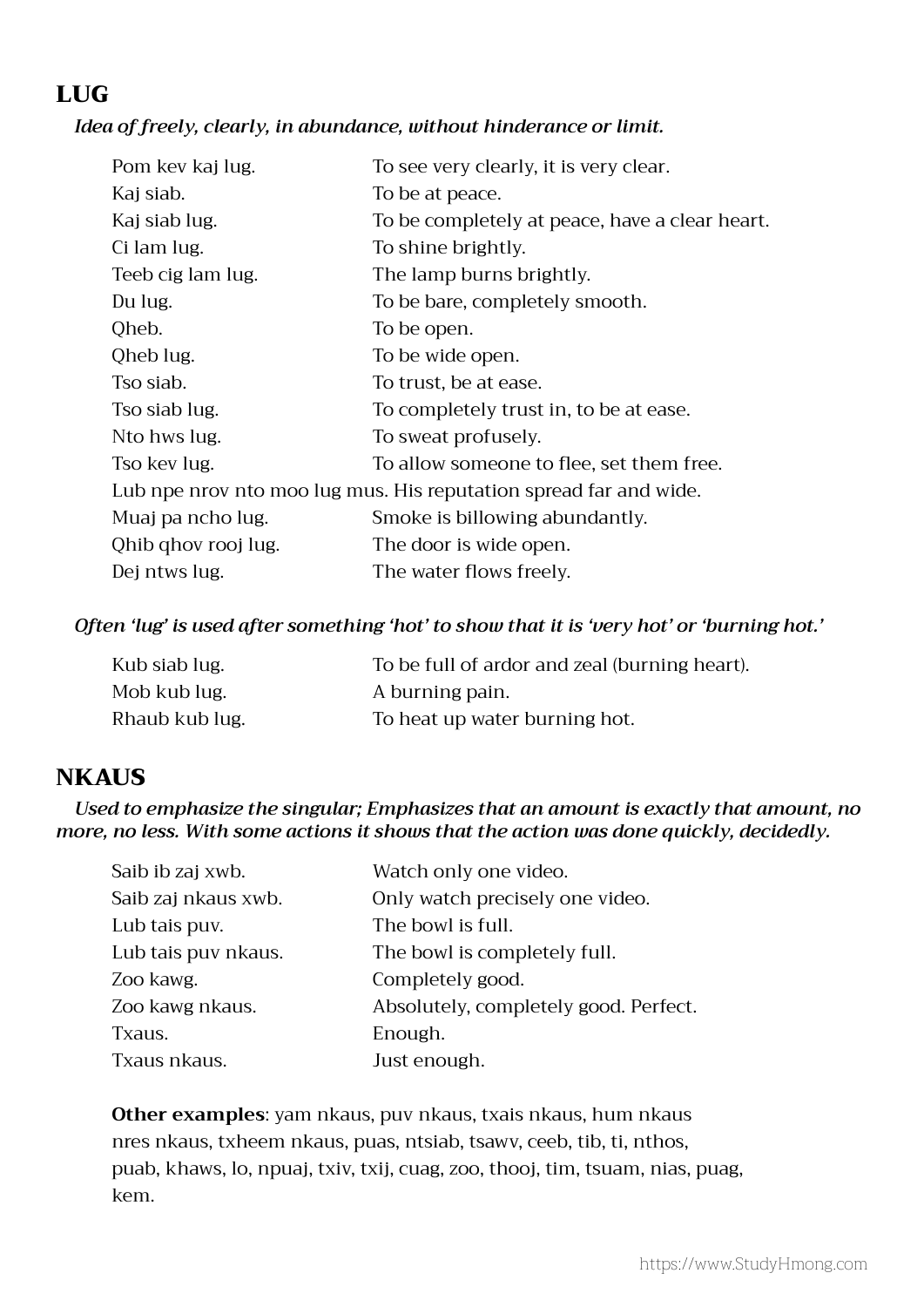# LUG

#### *Idea of freely, clearly, in abundance, without hinderance or limit.*

| Pom kev kaj lug.    | To see very clearly, it is very clear.                            |
|---------------------|-------------------------------------------------------------------|
| Kaj siab.           | To be at peace.                                                   |
| Kaj siab lug.       | To be completely at peace, have a clear heart.                    |
| Ci lam lug.         | To shine brightly.                                                |
| Teeb cig lam lug.   | The lamp burns brightly.                                          |
| Du lug.             | To be bare, completely smooth.                                    |
| Qheb.               | To be open.                                                       |
| Qheb lug.           | To be wide open.                                                  |
| Tso siab.           | To trust, be at ease.                                             |
| Tso siab lug.       | To completely trust in, to be at ease.                            |
| Nto hws lug.        | To sweat profusely.                                               |
| Tso kev lug.        | To allow someone to flee, set them free.                          |
|                     | Lub npe nrov nto moo lug mus. His reputation spread far and wide. |
| Muaj pa ncho lug.   | Smoke is billowing abundantly.                                    |
| Qhib qhov rooj lug. | The door is wide open.                                            |
| Dej ntws lug.       | The water flows freely.                                           |

#### *Often 'lug' is used after something 'hot' to show that it is 'very hot' or 'burning hot.'*

| Kub siab lug.  | To be full of ardor and zeal (burning heart). |
|----------------|-----------------------------------------------|
| Mob kub lug.   | A burning pain.                               |
| Rhaub kub lug. | To heat up water burning hot.                 |

# **NKAUS**

*Used to emphasize the singular; Emphasizes that an amount is exactly that amount, no more, no less. With some actions it shows that the action was done quickly, decidedly.*

| Saib ib zaj xwb.    | Watch only one video.                 |
|---------------------|---------------------------------------|
| Saib zaj nkaus xwb. | Only watch precisely one video.       |
| Lub tais puv.       | The bowl is full.                     |
| Lub tais puv nkaus. | The bowl is completely full.          |
| Zoo kawg.           | Completely good.                      |
| Zoo kawg nkaus.     | Absolutely, completely good. Perfect. |
| Txaus.              | Enough.                               |
| Txaus nkaus.        | Just enough.                          |

 **Other examples**: yam nkaus, puv nkaus, txais nkaus, hum nkaus nres nkaus, txheem nkaus, puas, ntsiab, tsawv, ceeb, tib, ti, nthos, puab, khaws, lo, npuaj, txiv, txij, cuag, zoo, thooj, tim, tsuam, nias, puag, kem.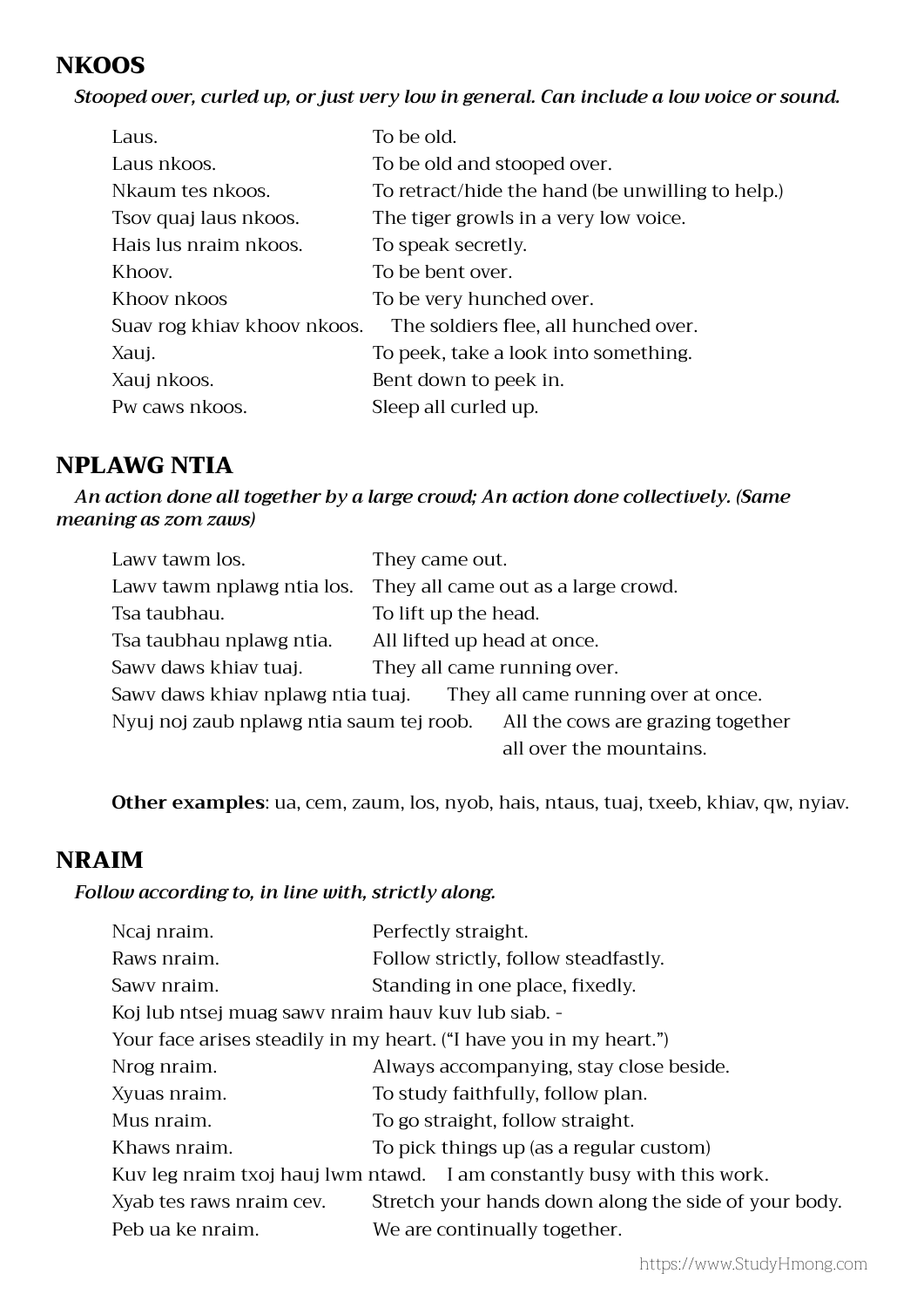# **NKOOS**

*Stooped over, curled up, or just very low in general. Can include a low voice or sound.*

| Laus.                       | To be old.                                       |
|-----------------------------|--------------------------------------------------|
| Laus nkoos.                 | To be old and stooped over.                      |
| Nkaum tes nkoos.            | To retract/hide the hand (be unwilling to help.) |
| Tsov quaj laus nkoos.       | The tiger growls in a very low voice.            |
| Hais lus nraim nkoos.       | To speak secretly.                               |
| Khoov.                      | To be bent over.                                 |
| Khoov nkoos                 | To be very hunched over.                         |
| Suav rog khiav khoov nkoos. | The soldiers flee, all hunched over.             |
| Xauj.                       | To peek, take a look into something.             |
| Xauj nkoos.                 | Bent down to peek in.                            |
| Pw caws nkoos.              | Sleep all curled up.                             |
|                             |                                                  |

# NPLAWG NTIA

*An action done all together by a large crowd; An action done collectively. (Same meaning as zom zaws)*

| Lawy tawm los.                           | They came out.                      |
|------------------------------------------|-------------------------------------|
| Lawy tawm nplawg ntia los.               | They all came out as a large crowd. |
| Tsa taubhau.                             | To lift up the head.                |
| Tsa taubhau nplawg ntia.                 | All lifted up head at once.         |
| Sawy daws khiav tuaj.                    | They all came running over.         |
| Sawy daws khiav nplawg ntia tuaj.        | They all came running over at once. |
| Nyuj noj zaub nplawg ntia saum tej roob. | All the cows are grazing together   |
|                                          | all over the mountains.             |

**Other examples**: ua, cem, zaum, los, nyob, hais, ntaus, tuaj, txeeb, khiav, qw, nyiav.

# NRAIM

#### *Follow according to, in line with, strictly along.*

| Ncaj nraim.                                        | Perfectly straight.                                                     |
|----------------------------------------------------|-------------------------------------------------------------------------|
| Raws nraim.                                        | Follow strictly, follow steadfastly.                                    |
| Sawy nraim.                                        | Standing in one place, fixedly.                                         |
| Koj lub ntsej muag sawy nraim hauv kuv lub siab. - |                                                                         |
|                                                    | Your face arises steadily in my heart. ("I have you in my heart.")      |
| Nrog nraim.                                        | Always accompanying, stay close beside.                                 |
| Xyuas nraim.                                       | To study faithfully, follow plan.                                       |
| Mus nraim.                                         | To go straight, follow straight.                                        |
| Khaws nraim.                                       | To pick things up (as a regular custom)                                 |
|                                                    | Kuv leg nraim txoj hauj lwm ntawd. I am constantly busy with this work. |
| Xyab tes raws nraim cev.                           | Stretch your hands down along the side of your body.                    |
| Peb ua ke nraim.                                   | We are continually together.                                            |
|                                                    |                                                                         |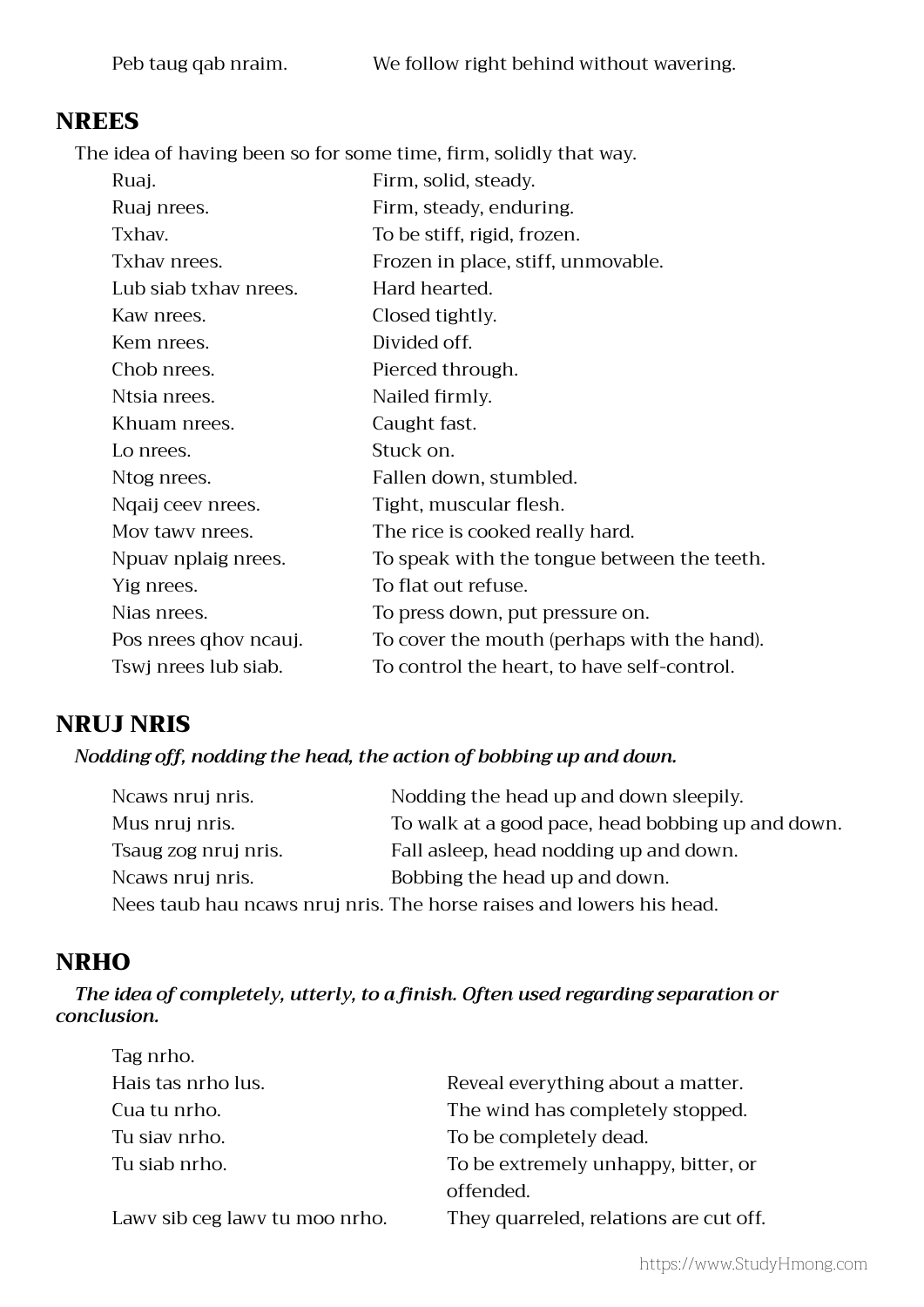# NREES

 The idea of having been so for some time, firm, solidly that way.

| Ruaj.                 | Firm, solid, steady.                        |
|-----------------------|---------------------------------------------|
| Ruaj nrees.           | Firm, steady, enduring.                     |
| Txhav.                | To be stiff, rigid, frozen.                 |
| Txhav nrees.          | Frozen in place, stiff, unmovable.          |
| Lub siab txhay nrees. | Hard hearted.                               |
| Kaw nrees.            | Closed tightly.                             |
| Kem nrees.            | Divided off.                                |
| Chob nrees.           | Pierced through.                            |
| Ntsia nrees.          | Nailed firmly.                              |
| Khuam nrees.          | Caught fast.                                |
| Lo nrees.             | Stuck on.                                   |
| Ntog nrees.           | Fallen down, stumbled.                      |
| Ngaij ceev nrees.     | Tight, muscular flesh.                      |
| Mov tawy nrees.       | The rice is cooked really hard.             |
| Npuav nplaig nrees.   | To speak with the tongue between the teeth. |
| Yig nrees.            | To flat out refuse.                         |
| Nias nrees.           | To press down, put pressure on.             |
| Pos nrees qhov ncauj. | To cover the mouth (perhaps with the hand). |
| Tswj nrees lub siab.  | To control the heart, to have self-control. |
|                       |                                             |

# NRUJ NRIS

#### *Nodding off, nodding the head, the action of bobbing up and down.*

| Neaws nruj nris.     | Nodding the head up and down sleepily.                               |
|----------------------|----------------------------------------------------------------------|
| Mus nruj nris.       | To walk at a good pace, head bobbing up and down.                    |
| Tsaug zog nruj nris. | Fall asleep, head nodding up and down.                               |
| Ncaws nruj nris.     | Bobbing the head up and down.                                        |
|                      | Nees taub hau ncaws nruj nris. The horse raises and lowers his head. |

# **NRHO**

 *The idea of completely, utterly, to a finish. Often used regarding separation or conclusion.*

| Tag nrho.                      |                                        |
|--------------------------------|----------------------------------------|
| Hais tas nrho lus.             | Reveal everything about a matter.      |
| Cua tu nrho.                   | The wind has completely stopped.       |
| Tu siav nrho.                  | To be completely dead.                 |
| Tu siab nrho.                  | To be extremely unhappy, bitter, or    |
|                                | offended.                              |
| Lawy sib ceg lawy tu moo nrho. | They quarreled, relations are cut off. |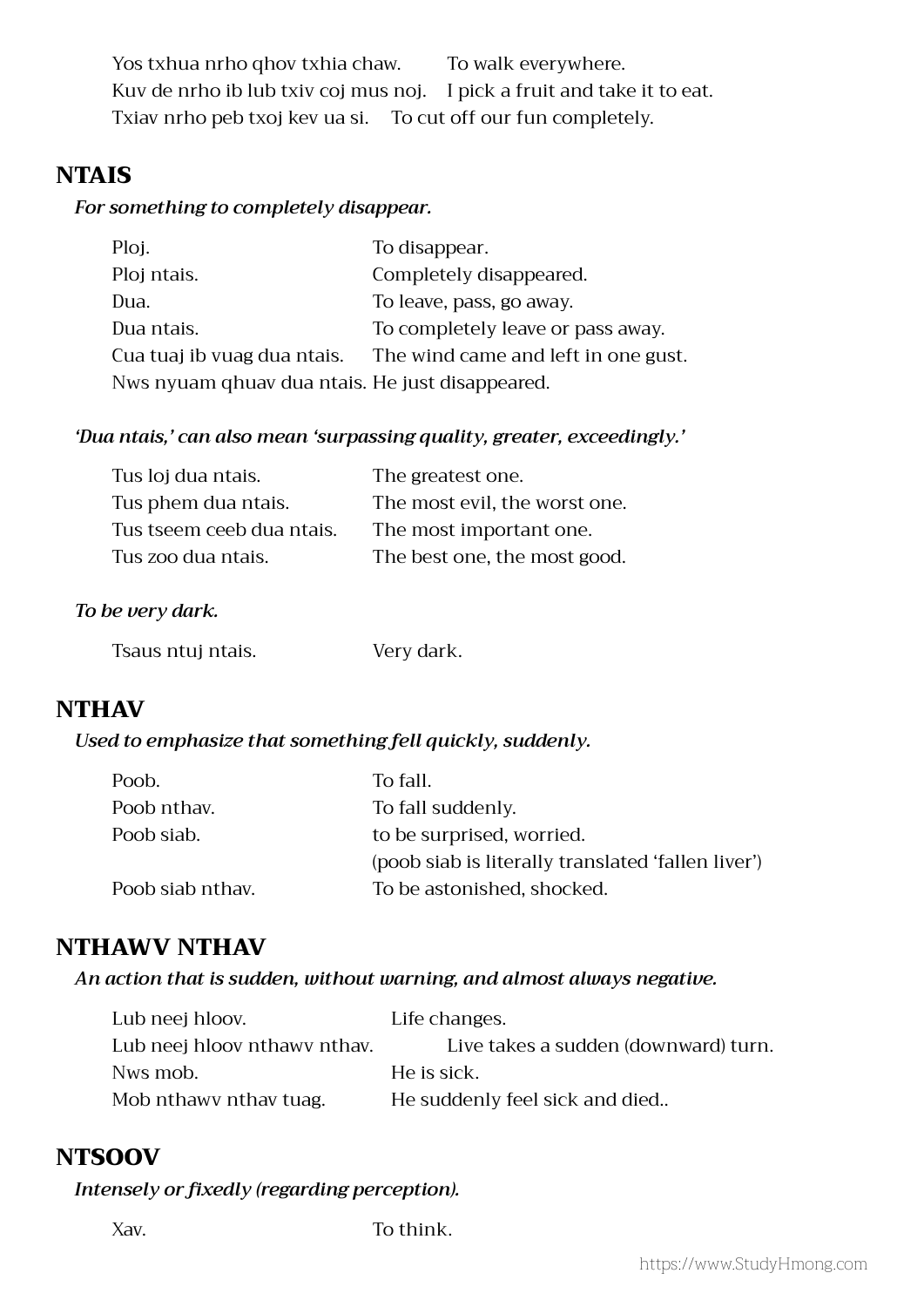Yos txhua nrho qhov txhia chaw. To walk everywhere. Kuv de nrho ib lub txiv coj mus noj. I pick a fruit and take it to eat. Txiav nrho peb txoj kev ua si. To cut off our fun completely.

### **NTAIS**

#### *For something to completely disappear.*

| Ploj.                                           | To disappear.                       |
|-------------------------------------------------|-------------------------------------|
| Ploj ntais.                                     | Completely disappeared.             |
| Dua.                                            | To leave, pass, go away.            |
| Dua ntais.                                      | To completely leave or pass away.   |
| Cua tuaj ib vuag dua ntais.                     | The wind came and left in one gust. |
| Nws nyuam qhuav dua ntais. He just disappeared. |                                     |

#### *'Dua ntais,' can also mean 'surpassing quality, greater, exceedingly.'*

| Tus loj dua ntais.        | The greatest one.             |
|---------------------------|-------------------------------|
| Tus phem dua ntais.       | The most evil, the worst one. |
| Tus tseem ceeb dua ntais. | The most important one.       |
| Tus zoo dua ntais.        | The best one, the most good.  |

#### *To be very dark.*

| Tsaus ntuj ntais. | Very dark. |
|-------------------|------------|
|-------------------|------------|

# **NTHAV**

#### *Used to emphasize that something fell quickly, suddenly.*

| Poob.            | To fall.                                           |
|------------------|----------------------------------------------------|
| Poob nthay.      | To fall suddenly.                                  |
| Poob siab.       | to be surprised, worried.                          |
|                  | (poob siab is literally translated 'fallen liver') |
| Poob siab nthay. | To be astonished, shocked.                         |

#### NTHAWV NTHAV

#### *An action that is sudden, without warning, and almost always negative.*

| Lub neej hloov.              | Life changes.                        |
|------------------------------|--------------------------------------|
| Lub neej hloov nthawy nthay. | Live takes a sudden (downward) turn. |
| Nws mob.                     | He is sick.                          |
| Mob nthawy nthay tuag.       | He suddenly feel sick and died       |

#### **NTSOOV**

#### *Intensely or fixedly (regarding perception).*

Xav. To think.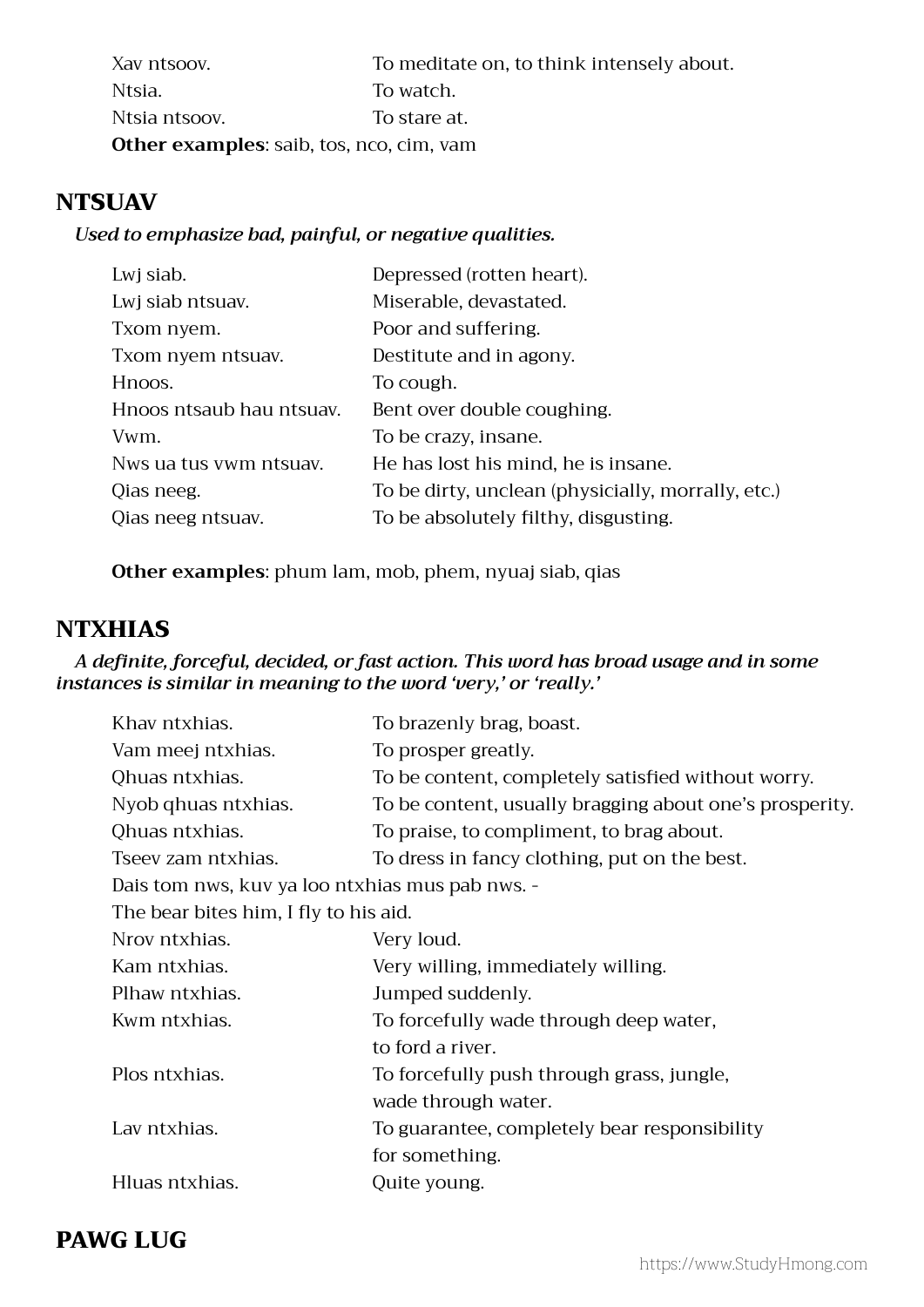| Xav ntsoov.   | To meditate on, to think intensely about.       |
|---------------|-------------------------------------------------|
| Ntsia.        | To watch.                                       |
| Ntsia ntsoov. | To stare at.                                    |
|               | <b>Other examples:</b> saib, tos, nco, cim, vam |

# **NTSUAV**

#### *Used to emphasize bad, painful, or negative qualities.*

| Depressed (rotten heart).                          |
|----------------------------------------------------|
| Miserable, devastated.                             |
| Poor and suffering.                                |
| Destitute and in agony.                            |
| To cough.                                          |
| Bent over double coughing.                         |
| To be crazy, insane.                               |
| He has lost his mind, he is insane.                |
| To be dirty, unclean (physicially, morrally, etc.) |
| To be absolutely filthy, disgusting.               |
|                                                    |

**Other examples**: phum lam, mob, phem, nyuaj siab, qias

# **NTXHIAS**

#### *A definite, forceful, decided, or fast action. This word has broad usage and in some instances is similar in meaning to the word 'very,' or 'really.'*

| Khav ntxhias.                                   | To brazenly brag, boast.                                |  |
|-------------------------------------------------|---------------------------------------------------------|--|
| Vam meej ntxhias.                               | To prosper greatly.                                     |  |
| Qhuas ntxhias.                                  | To be content, completely satisfied without worry.      |  |
| Nyob qhuas ntxhias.                             | To be content, usually bragging about one's prosperity. |  |
| Qhuas ntxhias.                                  | To praise, to compliment, to brag about.                |  |
| Tseev zam ntxhias.                              | To dress in fancy clothing, put on the best.            |  |
| Dais tom nws, kuv ya loo ntxhias mus pab nws. - |                                                         |  |
| The bear bites him, I fly to his aid.           |                                                         |  |
| Nrov ntxhias.                                   | Very loud.                                              |  |
| Kam ntxhias.                                    | Very willing, immediately willing.                      |  |
| Plhaw ntxhias.                                  | Jumped suddenly.                                        |  |
| Kwm ntxhias.                                    | To forcefully wade through deep water,                  |  |
|                                                 | to ford a river.                                        |  |
| Plos ntxhias.                                   | To forcefully push through grass, jungle,               |  |
|                                                 | wade through water.                                     |  |
| Lav ntxhias.                                    | To guarantee, completely bear responsibility            |  |
|                                                 | for something.                                          |  |
| Hluas ntxhias.                                  | Quite young.                                            |  |
|                                                 |                                                         |  |

# PAWG LUG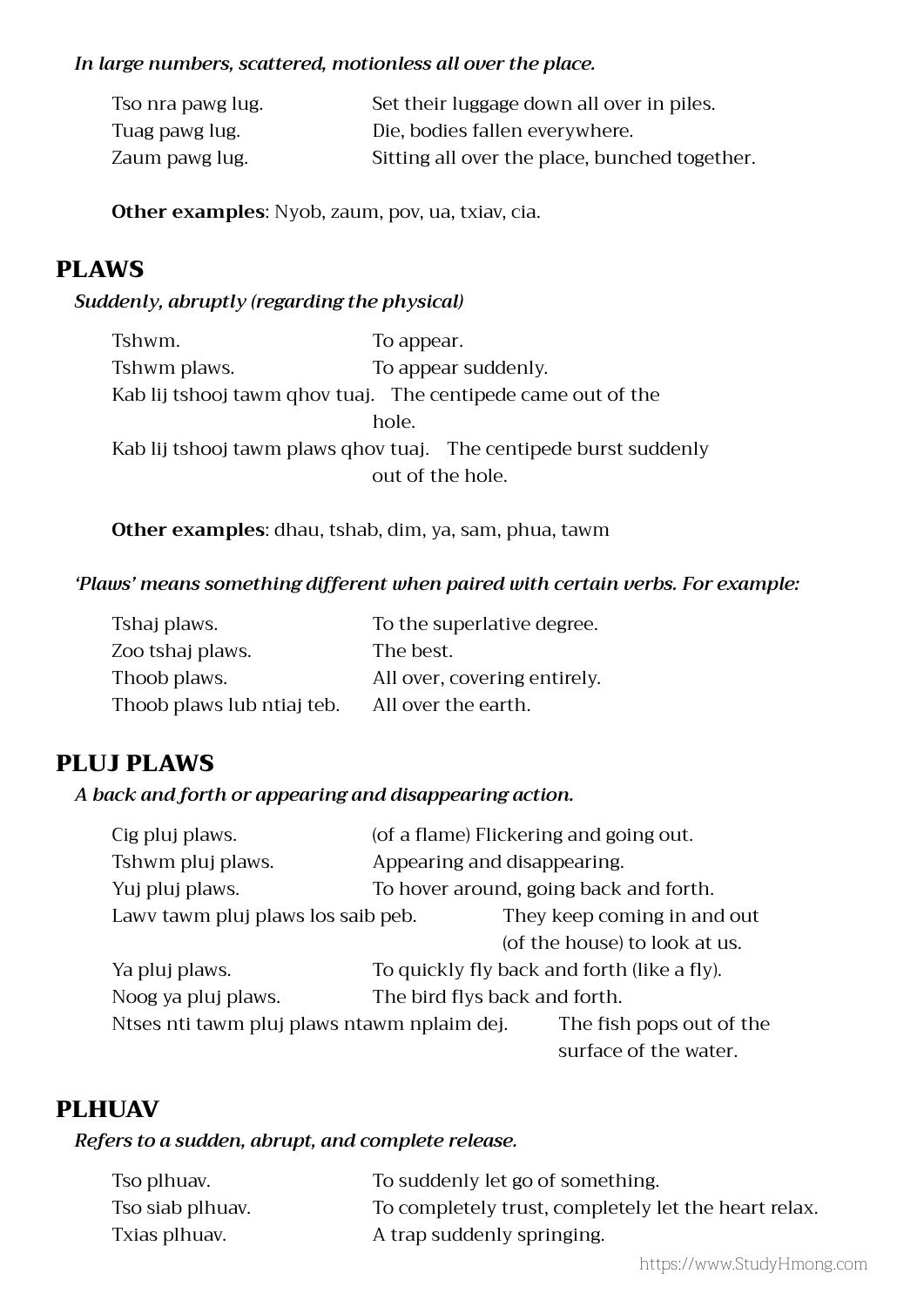#### *In large numbers, scattered, motionless all over the place.*

| Tso nra pawg lug. | Set their luggage down all over in piles.     |
|-------------------|-----------------------------------------------|
| Tuag pawg lug.    | Die, bodies fallen everywhere.                |
| Zaum pawg lug.    | Sitting all over the place, bunched together. |

**Other examples**: Nyob, zaum, pov, ua, txiav, cia.

# PLAWS

#### *Suddenly, abruptly (regarding the physical)*

| Tshwm.       | To appear.                                                        |
|--------------|-------------------------------------------------------------------|
| Tshwm plaws. | To appear suddenly.                                               |
|              | Kab lij tshooj tawm ghov tuaj. The centipede came out of the      |
|              | hole.                                                             |
|              | Kab lij tshooj tawm plaws qhov tuaj. The centipede burst suddenly |
|              | out of the hole.                                                  |

**Other examples**: dhau, tshab, dim, ya, sam, phua, tawm

#### *'Plaws' means something different when paired with certain verbs. For example:*

| Tshaj plaws.               | To the superlative degree.   |
|----------------------------|------------------------------|
| Zoo tshaj plaws.           | The best.                    |
| Thoob plaws.               | All over, covering entirely. |
| Thoob plaws lub ntiaj teb. | All over the earth.          |

# PLUJ PLAWS

#### *A back and forth or appearing and disappearing action.*

| Cig pluj plaws.                             | (of a flame) Flickering and going out. |                                             |
|---------------------------------------------|----------------------------------------|---------------------------------------------|
| Tshwm pluj plaws.                           | Appearing and disappearing.            |                                             |
| Yuj pluj plaws.                             |                                        | To hover around, going back and forth.      |
| Lawv tawm pluj plaws los saib peb.          |                                        | They keep coming in and out                 |
|                                             |                                        | (of the house) to look at us.               |
| Ya pluj plaws.                              |                                        | To quickly fly back and forth (like a fly). |
| Noog ya pluj plaws.                         | The bird flys back and forth.          |                                             |
| Ntses nti tawm pluj plaws ntawm nplaim dej. |                                        | The fish pops out of the                    |
|                                             |                                        | surface of the water.                       |

#### PLHUAV

#### *Refers to a sudden, abrupt, and complete release.*

| Tso plhuav.      | To suddenly let go of something.                     |
|------------------|------------------------------------------------------|
| Tso siab plhuav. | To completely trust, completely let the heart relax. |
| Txias plhuav.    | A trap suddenly springing.                           |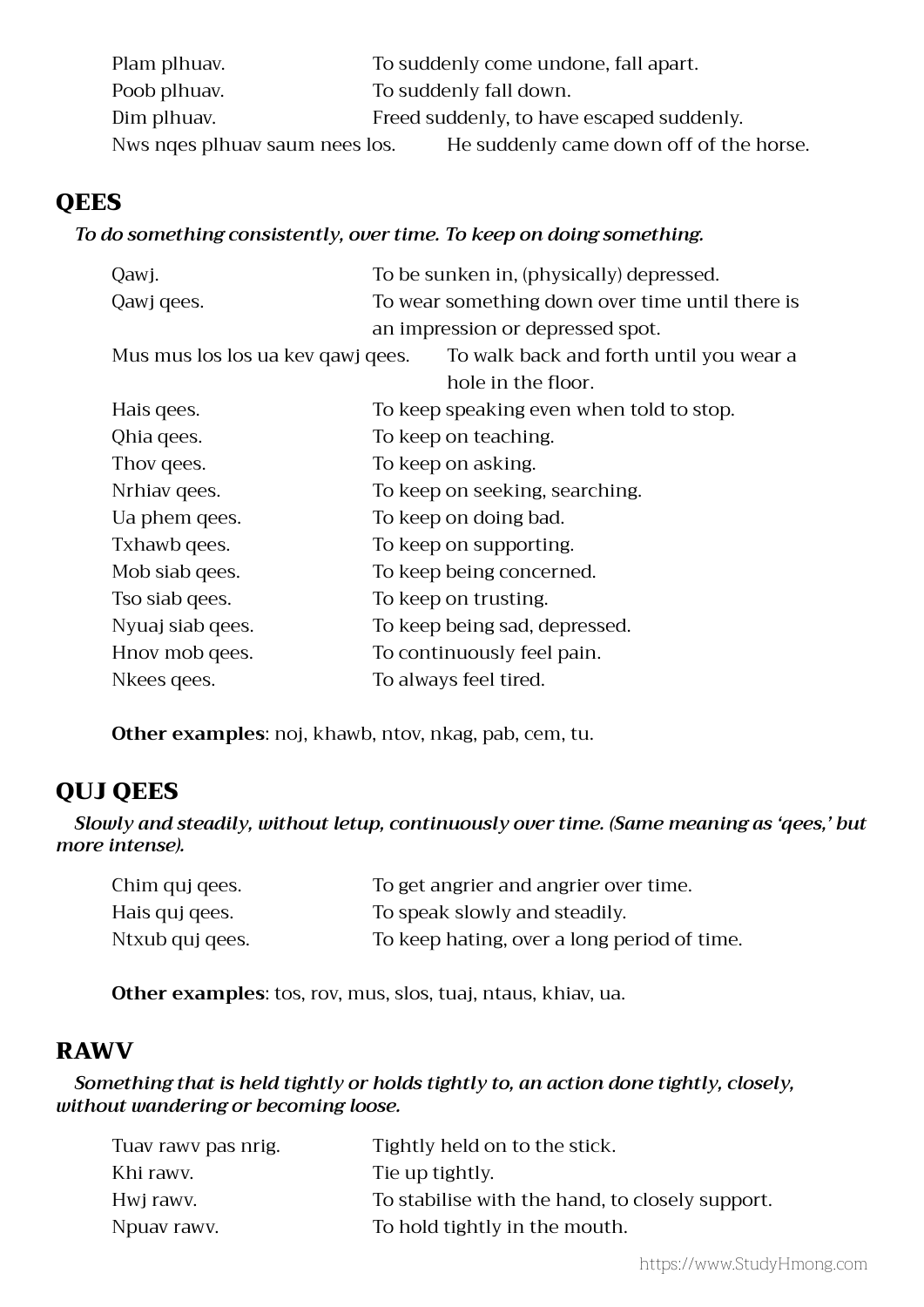| Plam plhuav.                   | To suddenly come undone, fall apart.      |
|--------------------------------|-------------------------------------------|
| Poob plhuav.                   | To suddenly fall down.                    |
| Dim plhuav.                    | Freed suddenly, to have escaped suddenly. |
| Nws nges plhuav saum nees los. | He suddenly came down off of the horse.   |

# **QEES**

#### *To do something consistently, over time. To keep on doing something.*

| Qawj.                             | To be sunken in, (physically) depressed.        |
|-----------------------------------|-------------------------------------------------|
| Qawj qees.                        | To wear something down over time until there is |
|                                   | an impression or depressed spot.                |
| Mus mus los los ua kev qawj qees. | To walk back and forth until you wear a         |
|                                   | hole in the floor.                              |
| Hais gees.                        | To keep speaking even when told to stop.        |
| Qhia qees.                        | To keep on teaching.                            |
| Thov gees.                        | To keep on asking.                              |
| Nrhiav gees.                      | To keep on seeking, searching.                  |
| Ua phem qees.                     | To keep on doing bad.                           |
| Txhawb qees.                      | To keep on supporting.                          |
| Mob siab qees.                    | To keep being concerned.                        |
| Tso siab qees.                    | To keep on trusting.                            |
| Nyuaj siab qees.                  | To keep being sad, depressed.                   |
| Hnov mob qees.                    | To continuously feel pain.                      |
| Nkees gees.                       | To always feel tired.                           |

**Other examples**: noj, khawb, ntov, nkag, pab, cem, tu.

# QUJ QEES

*Slowly and steadily, without letup, continuously over time. (Same meaning as 'qees,' but more intense).*

| Chim quj qees.  | To get angrier and angrier over time.       |
|-----------------|---------------------------------------------|
| Hais quj gees.  | To speak slowly and steadily.               |
| Ntxub quj qees. | To keep hating, over a long period of time. |

**Other examples**: tos, rov, mus, slos, tuaj, ntaus, khiav, ua.

# RAWV

*Something that is held tightly or holds tightly to, an action done tightly, closely, without wandering or becoming loose.*

| Tuav rawy pas nrig. | Tightly held on to the stick.                   |
|---------------------|-------------------------------------------------|
| Khi rawy.           | Tie up tightly.                                 |
| Hwj rawy.           | To stabilise with the hand, to closely support. |
| Npuav rawy.         | To hold tightly in the mouth.                   |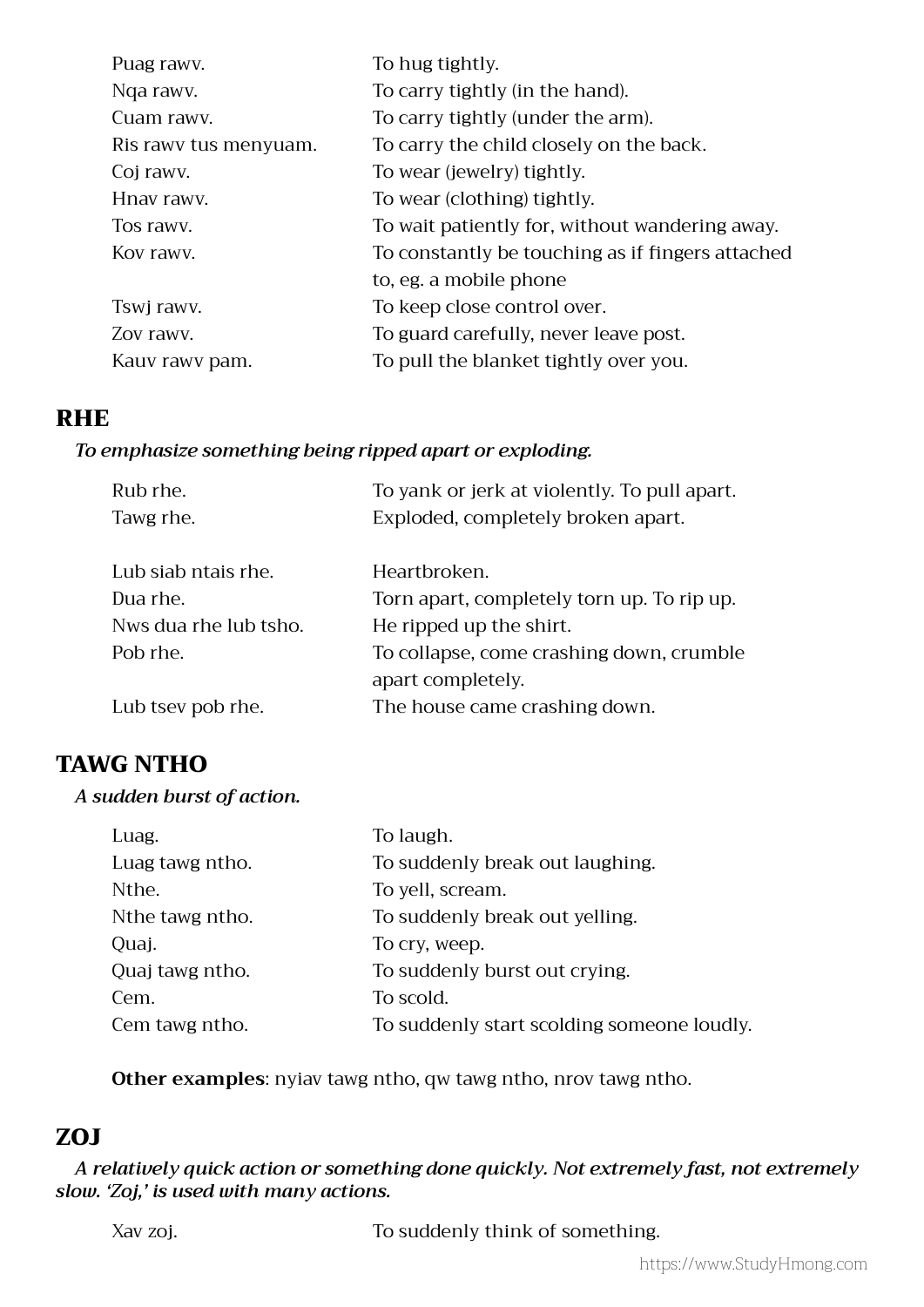| Puag rawy.            | To hug tightly.                                  |
|-----------------------|--------------------------------------------------|
| Nga rawy.             | To carry tightly (in the hand).                  |
| Cuam rawy.            | To carry tightly (under the arm).                |
| Ris rawy tus menyuam. | To carry the child closely on the back.          |
| Coj rawy.             | To wear (jewelry) tightly.                       |
| Hnav rawy.            | To wear (clothing) tightly.                      |
| Tos rawy.             | To wait patiently for, without wandering away.   |
| Kov rawy.             | To constantly be touching as if fingers attached |
|                       | to, eg. a mobile phone                           |
| Tswi rawy.            | To keep close control over.                      |
| Zov rawy.             | To guard carefully, never leave post.            |
| Kauv rawy pam.        | To pull the blanket tightly over you.            |
|                       |                                                  |

### RHE

#### *To emphasize something being ripped apart or exploding.*

| Rub rhe.              | To yank or jerk at violently. To pull apart. |
|-----------------------|----------------------------------------------|
| Tawg rhe.             | Exploded, completely broken apart.           |
|                       |                                              |
| Lub siab ntais rhe.   | Heartbroken.                                 |
| Dua rhe.              | Torn apart, completely torn up. To rip up.   |
| Nws dua rhe lub tsho. | He ripped up the shirt.                      |
| Pob rhe.              | To collapse, come crashing down, crumble     |
|                       | apart completely.                            |
| Lub tsev pob rhe.     | The house came crashing down.                |

# TAWG NTHO

#### *A sudden burst of action.*

| Luag.           | To laugh.                                  |
|-----------------|--------------------------------------------|
| Luag tawg ntho. | To suddenly break out laughing.            |
| Nthe.           | To yell, scream.                           |
| Nthe tawg ntho. | To suddenly break out yelling.             |
| Quaj.           | To cry, weep.                              |
| Quaj tawg ntho. | To suddenly burst out crying.              |
| Cem.            | To scold.                                  |
| Cem tawg ntho.  | To suddenly start scolding someone loudly. |

**Other examples**: nyiav tawg ntho, qw tawg ntho, nrov tawg ntho.

# ZOJ

*A relatively quick action or something done quickly. Not extremely fast, not extremely slow. 'Zoj,' is used with many actions.*

Xav zoj. To suddenly think of something.